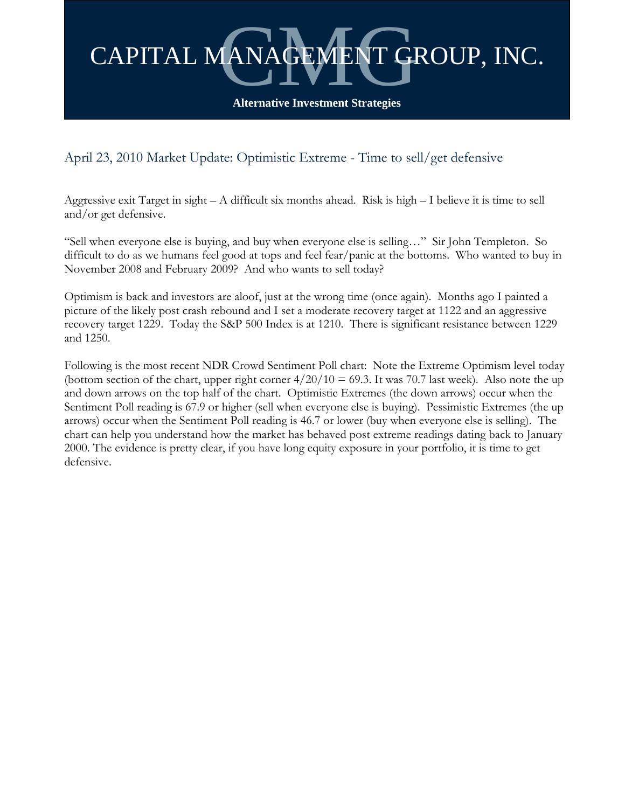

April 23, 2010 Market Update: Optimistic Extreme - Time to sell/get defensive

Aggressive exit Target in sight – A difficult six months ahead. Risk is high – I believe it is time to sell and/or get defensive.

"Sell when everyone else is buying, and buy when everyone else is selling…" Sir John Templeton. So difficult to do as we humans feel good at tops and feel fear/panic at the bottoms. Who wanted to buy in November 2008 and February 2009? And who wants to sell today?

Optimism is back and investors are aloof, just at the wrong time (once again). Months ago I painted a picture of the likely post crash rebound and I set a moderate recovery target at 1122 and an aggressive recovery target 1229. Today the S&P 500 Index is at 1210. There is significant resistance between 1229 and 1250.

Following is the most recent NDR Crowd Sentiment Poll chart: Note the Extreme Optimism level today (bottom section of the chart, upper right corner  $4/20/10 = 69.3$ . It was 70.7 last week). Also note the up and down arrows on the top half of the chart. Optimistic Extremes (the down arrows) occur when the Sentiment Poll reading is 67.9 or higher (sell when everyone else is buying). Pessimistic Extremes (the up arrows) occur when the Sentiment Poll reading is 46.7 or lower (buy when everyone else is selling). The chart can help you understand how the market has behaved post extreme readings dating back to January 2000. The evidence is pretty clear, if you have long equity exposure in your portfolio, it is time to get defensive.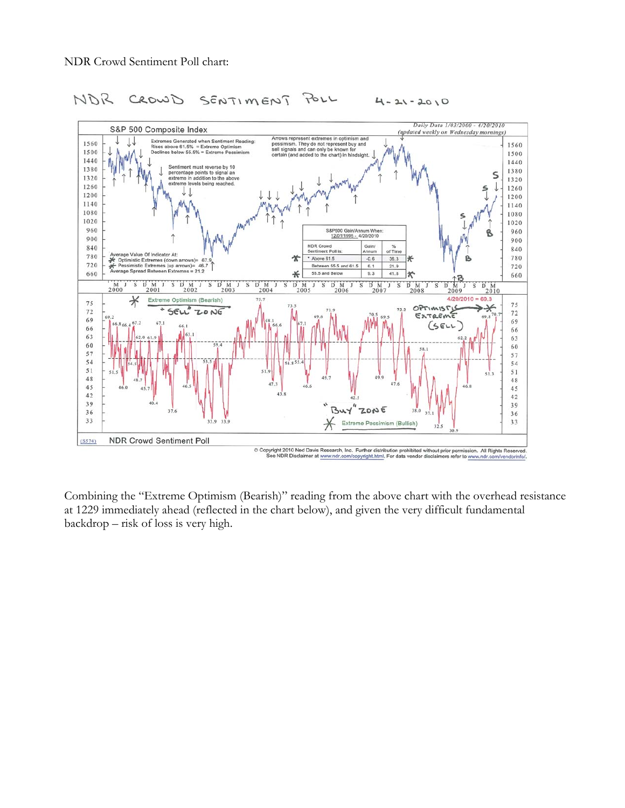

## SENTIMENT NOR CROWD POLL  $4 - 21 - 2010$

Combining the "Extreme Optimism (Bearish)" reading from the above chart with the overhead resistance at 1229 immediately ahead (reflected in the chart below), and given the very difficult fundamental backdrop – risk of loss is very high.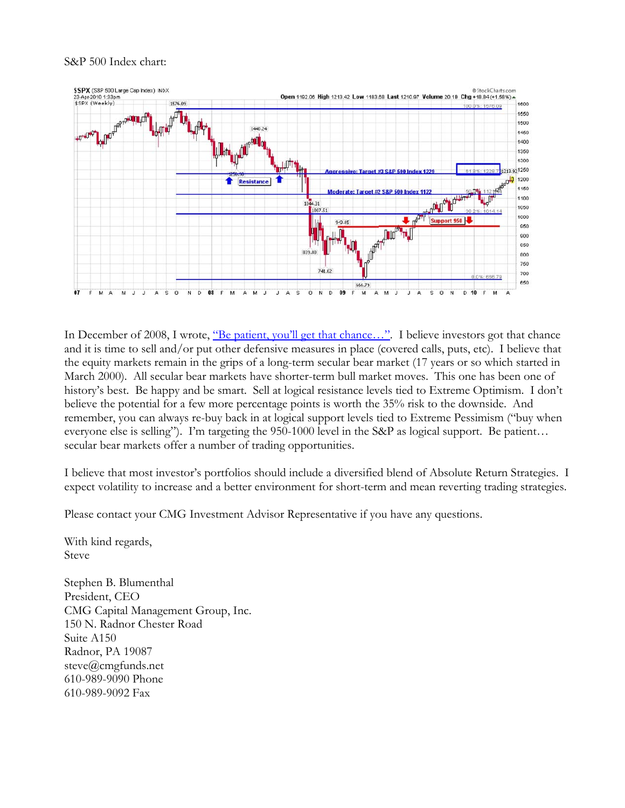## S&P 500 Index chart:



In December of 2008, I wrote, <u>"Be patient, you'll get that chance…"</u>. I believe investors got that chance and it is time to sell and/or put other defensive measures in place (covered calls, puts, etc). I believe that the equity markets remain in the grips of a long-term secular bear market (17 years or so which started in March 2000). All secular bear markets have shorter-term bull market moves. This one has been one of history's best. Be happy and be smart. Sell at logical resistance levels tied to Extreme Optimism. I don't believe the potential for a few more percentage points is worth the 35% risk to the downside. And remember, you can always re-buy back in at logical support levels tied to Extreme Pessimism ("buy when everyone else is selling"). I'm targeting the 950-1000 level in the S&P as logical support. Be patient… secular bear markets offer a number of trading opportunities.

I believe that most investor's portfolios should include a diversified blend of Absolute Return Strategies. I expect volatility to increase and a better environment for short-term and mean reverting trading strategies.

Please contact your CMG Investment Advisor Representative if you have any questions.

With kind regards, Steve

Stephen B. Blumenthal President, CEO CMG Capital Management Group, Inc. 150 N. Radnor Chester Road Suite A150 Radnor, PA 19087 steve@cmgfunds.net 610-989-9090 Phone 610-989-9092 Fax